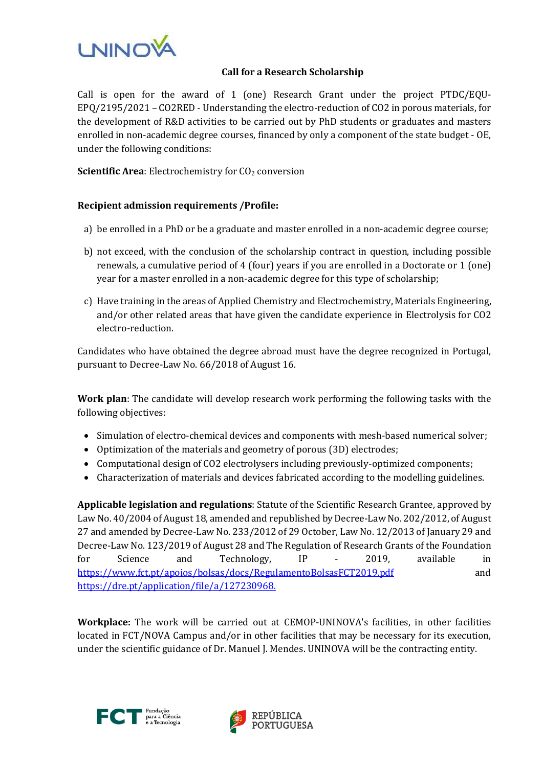

## **Call for a Research Scholarship**

Call is open for the award of 1 (one) Research Grant under the project PTDC/EQU-EPQ/2195/2021 – CO2RED - Understanding the electro-reduction of CO2 in porous materials, for the development of R&D activities to be carried out by PhD students or graduates and masters enrolled in non-academic degree courses, financed by only a component of the state budget - OE, under the following conditions:

**Scientific Area:** Electrochemistry for CO<sub>2</sub> conversion

## **Recipient admission requirements /Profile:**

- a) be enrolled in a PhD or be a graduate and master enrolled in a non-academic degree course;
- b) not exceed, with the conclusion of the scholarship contract in question, including possible renewals, a cumulative period of 4 (four) years if you are enrolled in a Doctorate or 1 (one) year for a master enrolled in a non-academic degree for this type of scholarship;
- c) Have training in the areas of Applied Chemistry and Electrochemistry, Materials Engineering, and/or other related areas that have given the candidate experience in Electrolysis for CO2 electro-reduction.

Candidates who have obtained the degree abroad must have the degree recognized in Portugal, pursuant to Decree-Law No. 66/2018 of August 16.

**Work plan**: The candidate will develop research work performing the following tasks with the following objectives:

- Simulation of electro-chemical devices and components with mesh-based numerical solver;
- Optimization of the materials and geometry of porous (3D) electrodes;
- Computational design of CO2 electrolysers including previously-optimized components;
- Characterization of materials and devices fabricated according to the modelling guidelines.

**Applicable legislation and regulations**: Statute of the Scientific Research Grantee, approved by Law No. 40/2004 of August 18, amended and republished by Decree-Law No. 202/2012, of August 27 and amended by Decree-Law No. 233/2012 of 29 October, Law No. 12/2013 of January 29 and Decree-Law No. 123/2019 of August 28 and The Regulation of Research Grants of the Foundation for Science and Technology, IP - 2019, available in <https://www.fct.pt/apoios/bolsas/docs/RegulamentoBolsasFCT2019.pdf> and <https://dre.pt/application/file/a/127230968.>

**Workplace:** The work will be carried out at CEMOP-UNINOVA's facilities, in other facilities located in FCT/NOVA Campus and/or in other facilities that may be necessary for its execution, under the scientific guidance of Dr. Manuel J. Mendes. UNINOVA will be the contracting entity.



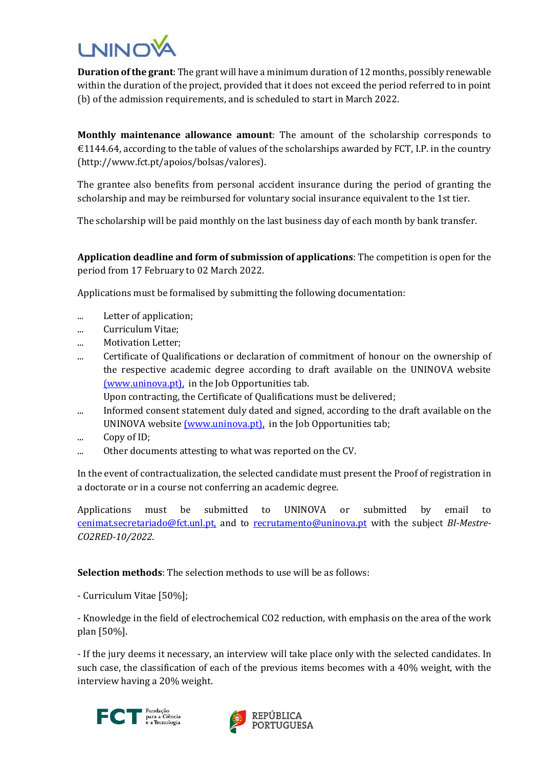

**Duration of the grant**: The grant will have a minimum duration of 12 months, possibly renewable within the duration of the project, provided that it does not exceed the period referred to in point (b) of the admission requirements, and is scheduled to start in March 2022.

**Monthly maintenance allowance amount**: The amount of the scholarship corresponds to  $E1144.64$ , according to the table of values of the scholarships awarded by FCT, I.P. in the country (http://www.fct.pt/apoios/bolsas/valores).

The grantee also benefits from personal accident insurance during the period of granting the scholarship and may be reimbursed for voluntary social insurance equivalent to the 1st tier.

The scholarship will be paid monthly on the last business day of each month by bank transfer.

**Application deadline and form of submission of applications**: The competition is open for the period from 17 February to 02 March 2022.

Applications must be formalised by submitting the following documentation:

- ... Letter of application;
- ... Curriculum Vitae;
- ... Motivation Letter;
- ... Certificate of Qualifications or declaration of commitment of honour on the ownership of the respective academic degree according to draft available on the UNINOVA website [\(www.uninova.pt\),](http://www.uninova.pt/) in the Job Opportunities tab.

Upon contracting, the Certificate of Qualifications must be delivered;

- ... Informed consent statement duly dated and signed, according to the draft available on the UNINOVA websit[e \(www.uninova.pt\),](http://www.uninova.pt/) in the Job Opportunities tab;
- ... Copy of ID;
- ... Other documents attesting to what was reported on the CV.

In the event of contractualization, the selected candidate must present the Proof of registration in a doctorate or in a course not conferring an academic degree.

Applications must be submitted to UNINOVA or submitted by email to [cenimat.secretariado@fct.unl.pt,](mailto:cenimat.secretariado@fct.unl.pt) and to [recrutamento@uninova.pt](mailto:recrutamento@uninova.pt) with the subject *BI-Mestre-CO2RED-10/2022*.

**Selection methods**: The selection methods to use will be as follows:

- Curriculum Vitae [50%];

- Knowledge in the field of electrochemical CO2 reduction, with emphasis on the area of the work plan [50%].

- If the jury deems it necessary, an interview will take place only with the selected candidates. In such case, the classification of each of the previous items becomes with a 40% weight, with the interview having a 20% weight.